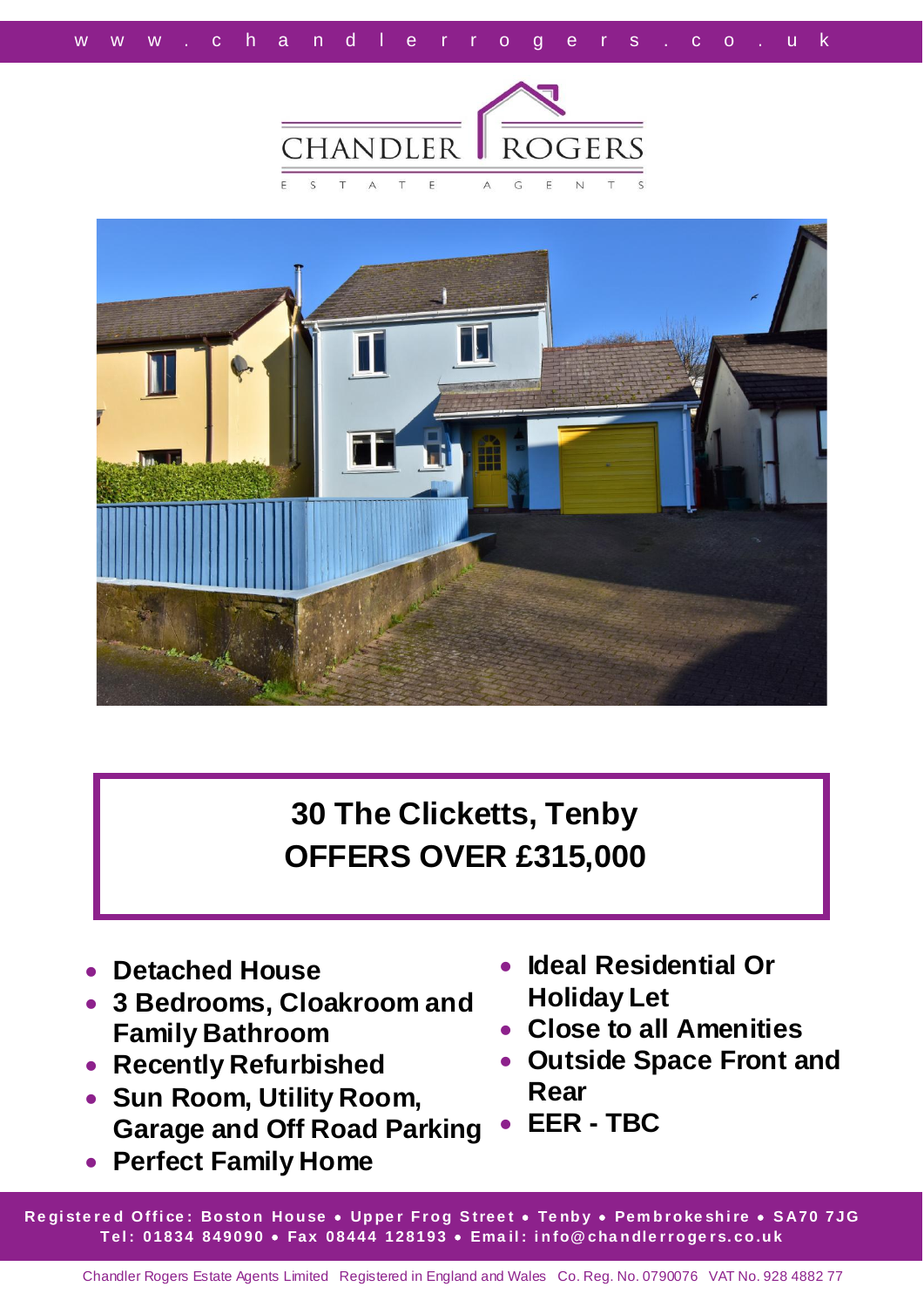



**30 The Clicketts, Tenby OFFERS OVER £315,000**

- **Detached House**
- **3 Bedrooms, Cloakroom and Family Bathroom**
- **Recently Refurbished**
- **Sun Room, Utility Room, Garage and Off Road Parking**
- **Perfect Family Home**
- **Ideal Residential Or Holiday Let**
- **Close to all Amenities**
- **Outside Space Front and Rear**
- **EER - TBC**

**Re gi ste r e d O ffi ce : Bo sto n Ho u se Up pe r F r o g S tree t Te nb y Pem b r o ke sh i re S A70 7JG T el : 01834 849090 Fax 08444 128193 Ema il : i n fo@ cha n dle r r o ge r s. co .u k**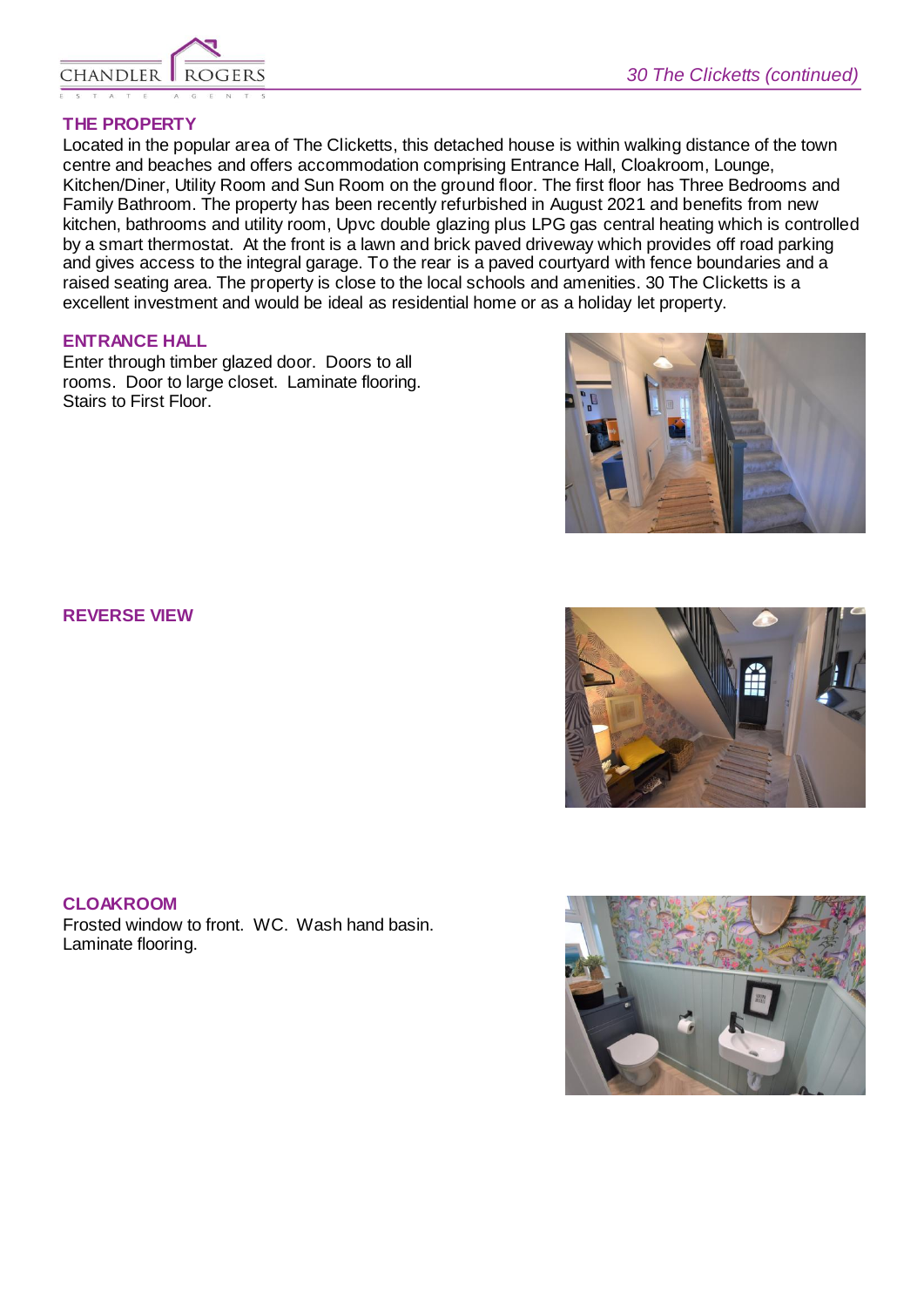

## **THE PROPERTY**

Located in the popular area of The Clicketts, this detached house is within walking distance of the town centre and beaches and offers accommodation comprising Entrance Hall, Cloakroom, Lounge, Kitchen/Diner, Utility Room and Sun Room on the ground floor. The first floor has Three Bedrooms and Family Bathroom. The property has been recently refurbished in August 2021 and benefits from new kitchen, bathrooms and utility room, Upvc double glazing plus LPG gas central heating which is controlled by a smart thermostat. At the front is a lawn and brick paved driveway which provides off road parking and gives access to the integral garage. To the rear is a paved courtyard with fence boundaries and a raised seating area. The property is close to the local schools and amenities. 30 The Clicketts is a excellent investment and would be ideal as residential home or as a holiday let property.

## **ENTRANCE HALL**

Enter through timber glazed door. Doors to all rooms. Door to large closet. Laminate flooring. Stairs to First Floor.



#### **CLOAKROOM**

Frosted window to front. WC. Wash hand basin. Laminate flooring.





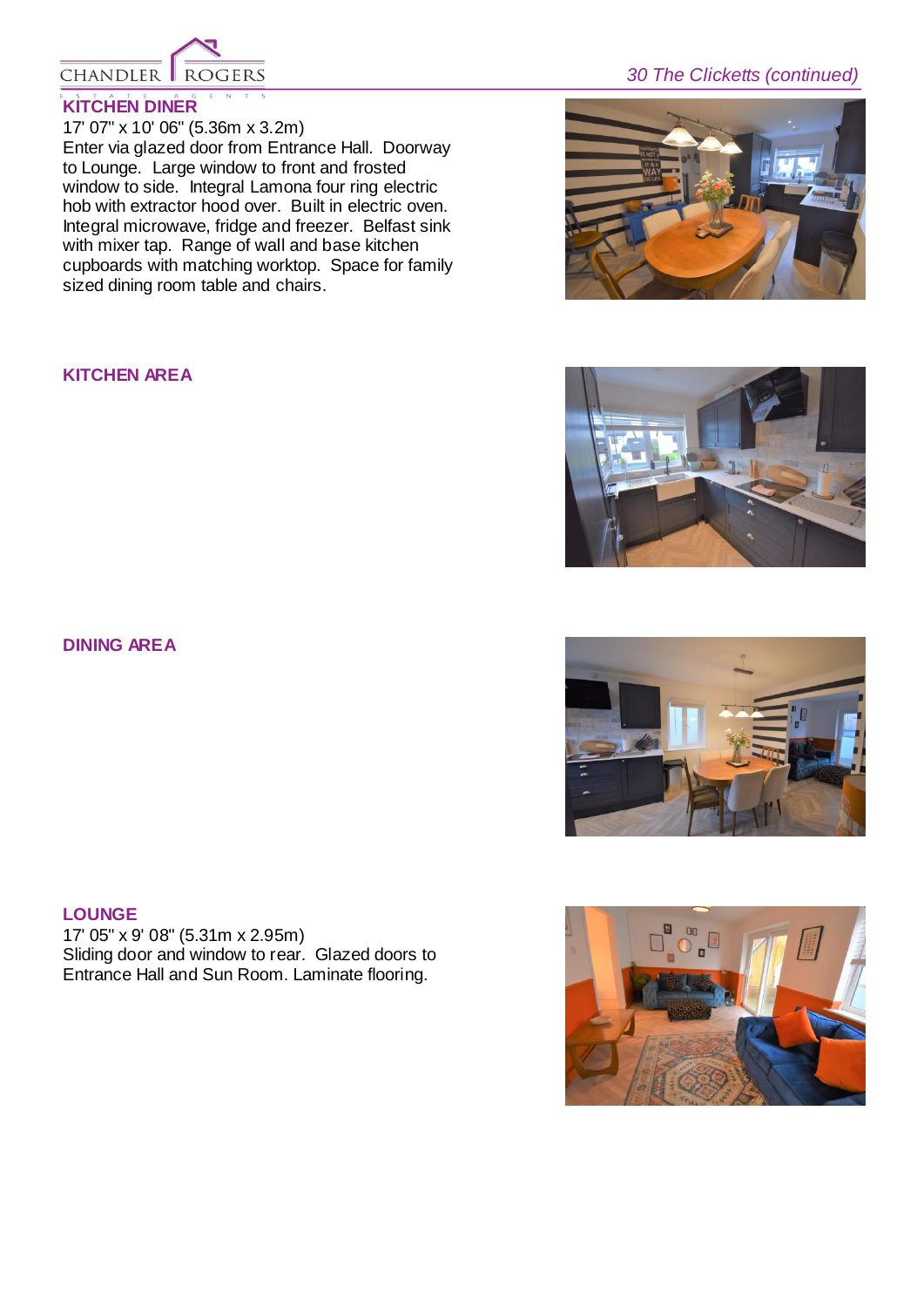

## **KITCHEN DINER**

17' 07" x 10' 06" (5.36m x 3.2m) Enter via glazed door from Entrance Hall. Doorway to Lounge. Large window to front and frosted window to side. Integral Lamona four ring electric hob with extractor hood over. Built in electric oven. Integral microwave, fridge and freezer. Belfast sink with mixer tap. Range of wall and base kitchen cupboards with matching worktop. Space for family sized dining room table and chairs.

## **KITCHEN AREA**

**DINING AREA**

# **LOUNGE**

17' 05" x 9' 08" (5.31m x 2.95m) Sliding door and window to rear. Glazed doors to Entrance Hall and Sun Room. Laminate flooring.

# *30 The Clicketts (continued)*







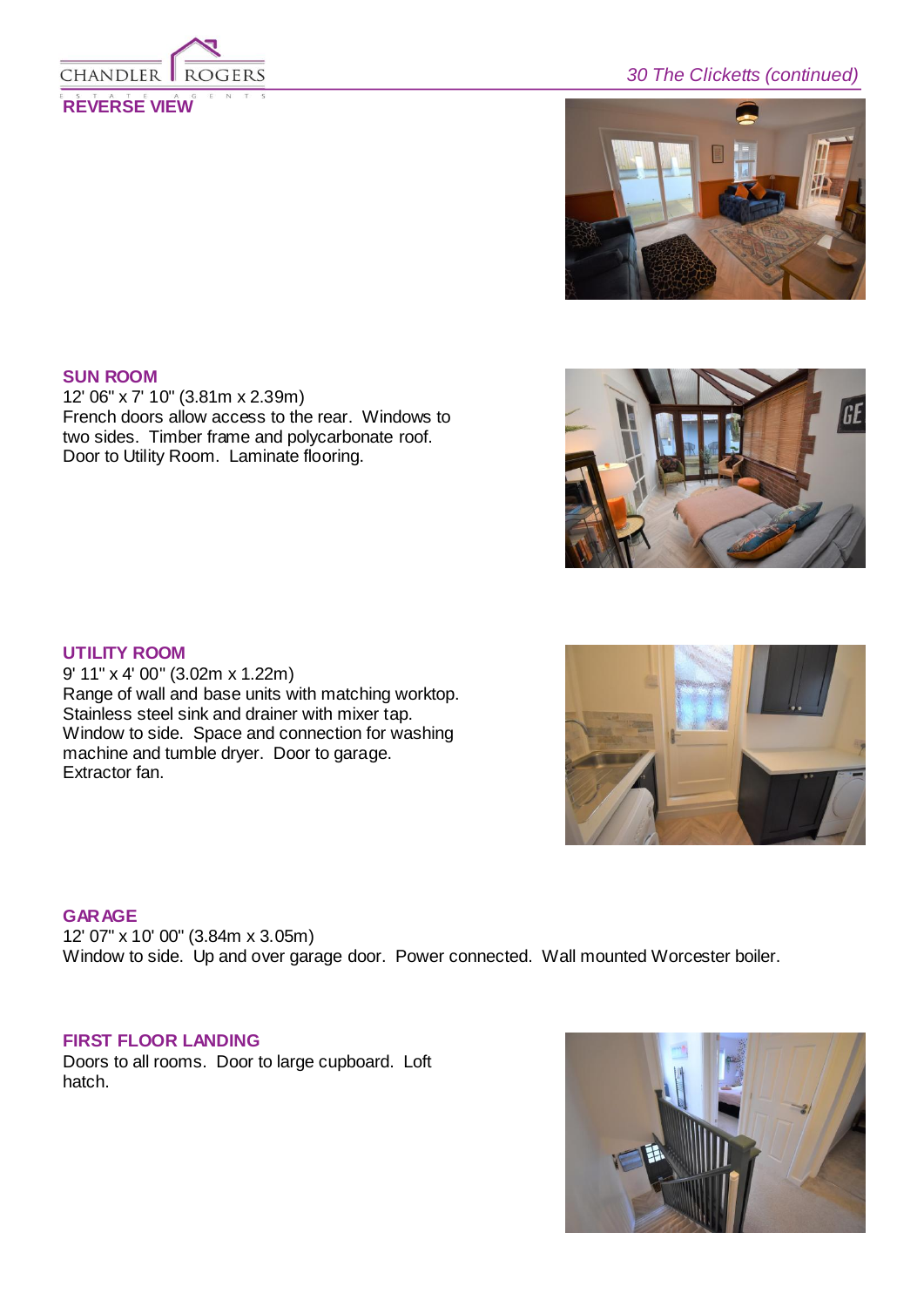

# *30 The Clicketts (continued)*



#### **SUN ROOM**

12' 06" x 7' 10" (3.81m x 2.39m) French doors allow access to the rear. Windows to two sides. Timber frame and polycarbonate roof. Door to Utility Room. Laminate flooring.



## **UTILITY ROOM**

9' 11" x 4' 00" (3.02m x 1.22m) Range of wall and base units with matching worktop. Stainless steel sink and drainer with mixer tap. Window to side. Space and connection for washing machine and tumble dryer. Door to garage. Extractor fan.

#### **GARAGE**

12' 07" x 10' 00" (3.84m x 3.05m) Window to side. Up and over garage door. Power connected. Wall mounted Worcester boiler.

## **FIRST FLOOR LANDING**

Doors to all rooms. Door to large cupboard. Loft hatch.



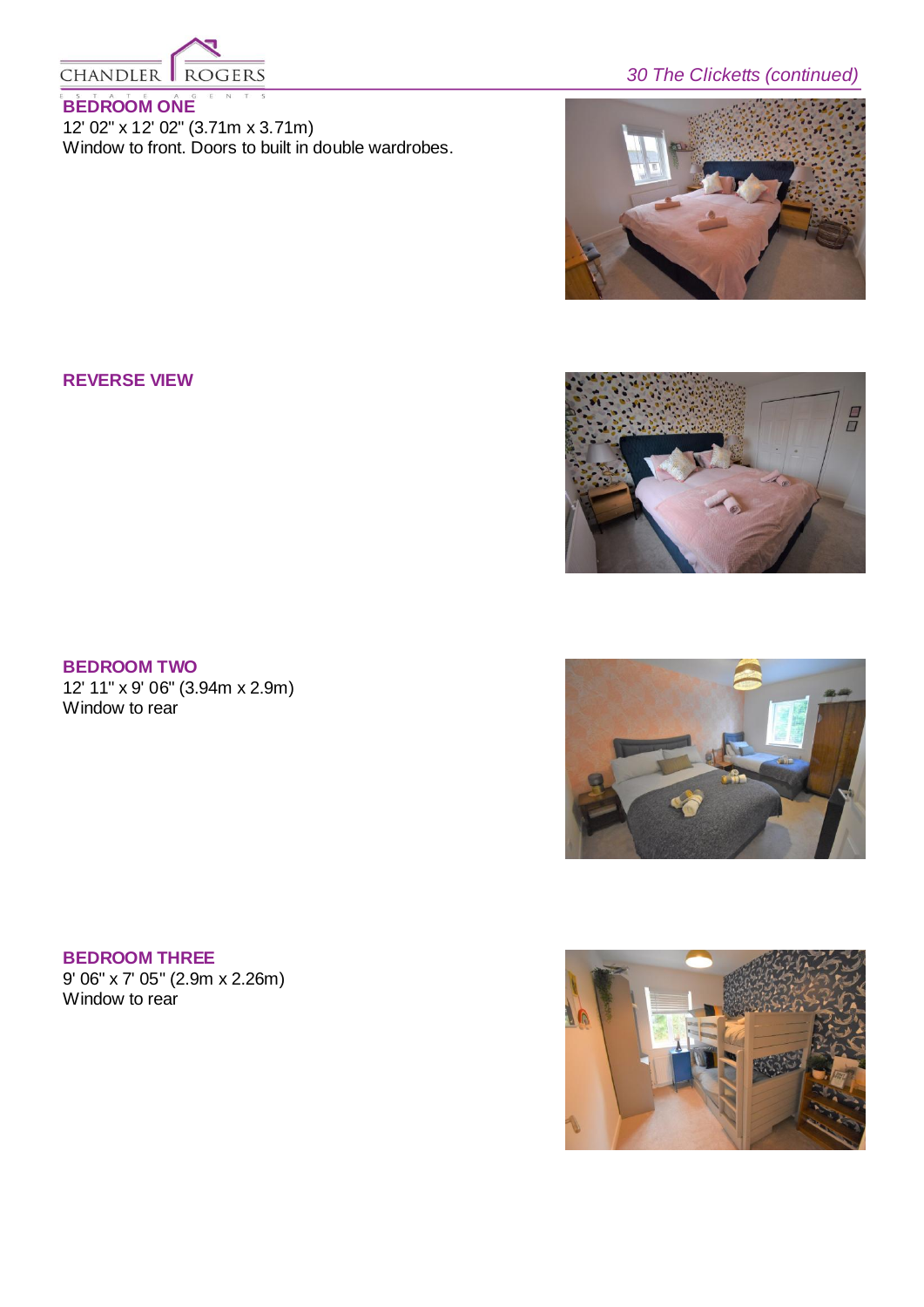

## **BEDROOM ONE**

12' 02" x 12' 02" (3.71m x 3.71m) Window to front. Doors to built in double wardrobes.

# *30 The Clicketts (continued)*



## **REVERSE VIEW**



## **BEDROOM TWO**

12' 11" x 9' 06" (3.94m x 2.9m) Window to rear

## **BEDROOM THREE** 9' 06" x 7' 05" (2.9m x 2.26m) Window to rear



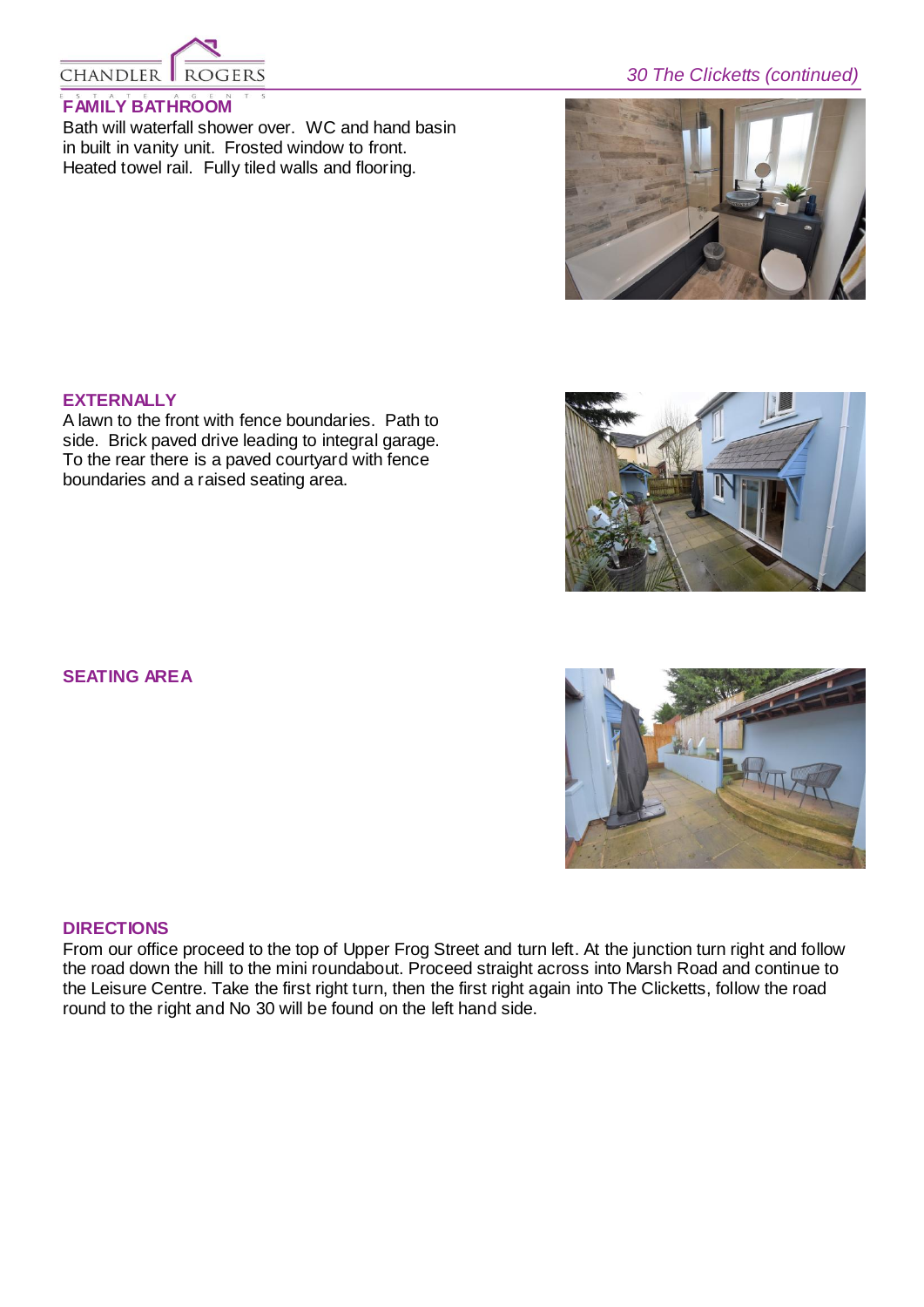

## **FAMILY BATHROOM**

Bath will waterfall shower over. WC and hand basin in built in vanity unit. Frosted window to front. Heated towel rail. Fully tiled walls and flooring.

# *30 The Clicketts (continued)*



## **EXTERNALLY**

A lawn to the front with fence boundaries. Path to side. Brick paved drive leading to integral garage. To the rear there is a paved courtyard with fence boundaries and a raised seating area.

## **SEATING AREA**

#### **DIRECTIONS**

From our office proceed to the top of Upper Frog Street and turn left. At the junction turn right and follow the road down the hill to the mini roundabout. Proceed straight across into Marsh Road and continue to the Leisure Centre. Take the first right turn, then the first right again into The Clicketts, follow the road round to the right and No 30 will be found on the left hand side.